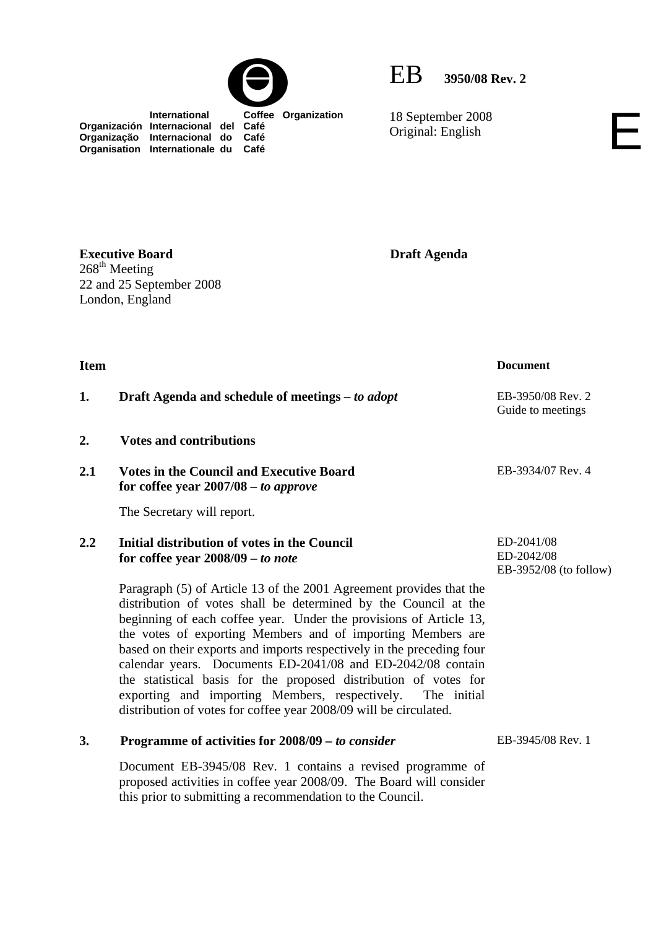

EB **3950/08 Rev. 2**

18 September 2008 Original: English

 **International Coffee Organization Organización Internacional del Café Organização Internacional do Café Organisation Internationale du Café**

**Executive Board**   $268^{\text{th}}$  Meeting 22 and 25 September 2008 London, England

**Draft Agenda** 

**Item** Document **1. Draft Agenda and schedule of meetings –** *to adopt* **EB-3950/08 Rev. 2** Guide to meetings **2. Votes and contributions 2.1 Votes in the Council and Executive Board for coffee year 2007/08** *– to approve*  The Secretary will report. EB-3934/07 Rev. 4 **2.2 Initial distribution of votes in the Council for coffee year 2008/09 –** *to note*  Paragraph (5) of Article 13 of the 2001 Agreement provides that the distribution of votes shall be determined by the Council at the beginning of each coffee year. Under the provisions of Article 13, the votes of exporting Members and of importing Members are based on their exports and imports respectively in the preceding four calendar years. Documents ED-2041/08 and ED-2042/08 contain the statistical basis for the proposed distribution of votes for exporting and importing Members, respectively. The initial distribution of votes for coffee year 2008/09 will be circulated. ED-2041/08 ED-2042/08 EB-3952/08 (to follow) **3. Programme of activities for 2008/09** *– to consider* Document EB-3945/08 Rev. 1 contains a revised programme of proposed activities in coffee year 2008/09. The Board will consider EB-3945/08 Rev. 1

this prior to submitting a recommendation to the Council.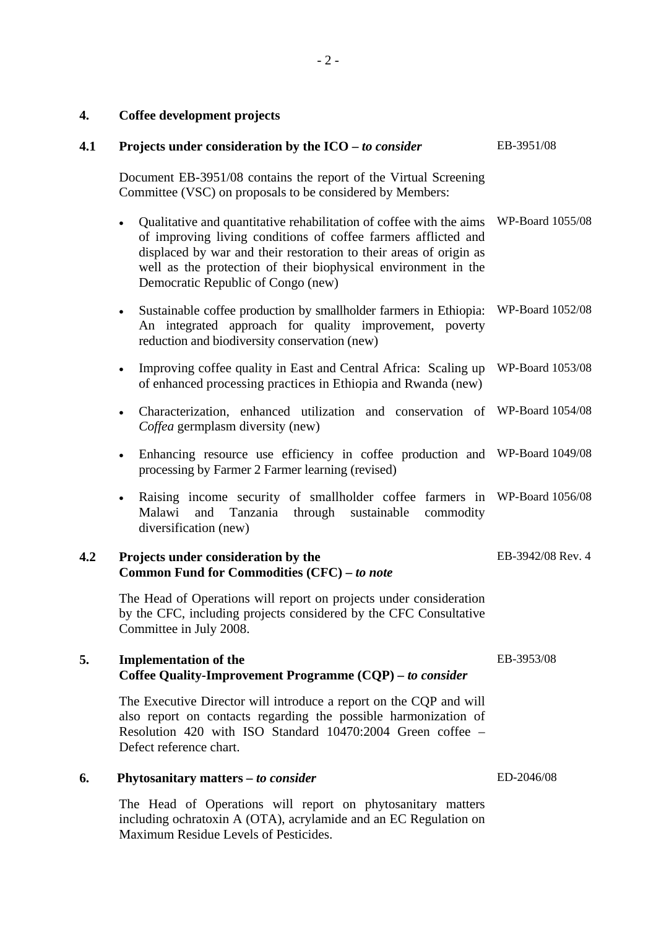## **4. Coffee development projects**

| 4.1 | Projects under consideration by the $ICO$ - to consider                                                                                                                                                                                                                                                                          | EB-3951/08        |
|-----|----------------------------------------------------------------------------------------------------------------------------------------------------------------------------------------------------------------------------------------------------------------------------------------------------------------------------------|-------------------|
|     | Document EB-3951/08 contains the report of the Virtual Screening<br>Committee (VSC) on proposals to be considered by Members:                                                                                                                                                                                                    |                   |
|     | Qualitative and quantitative rehabilitation of coffee with the aims<br>$\bullet$<br>of improving living conditions of coffee farmers afflicted and<br>displaced by war and their restoration to their areas of origin as<br>well as the protection of their biophysical environment in the<br>Democratic Republic of Congo (new) | WP-Board 1055/08  |
|     | Sustainable coffee production by smallholder farmers in Ethiopia:<br>$\bullet$<br>An integrated approach for quality improvement, poverty<br>reduction and biodiversity conservation (new)                                                                                                                                       | WP-Board 1052/08  |
|     | Improving coffee quality in East and Central Africa: Scaling up<br>$\bullet$<br>of enhanced processing practices in Ethiopia and Rwanda (new)                                                                                                                                                                                    | WP-Board 1053/08  |
|     | Characterization, enhanced utilization and conservation of WP-Board 1054/08<br>$\bullet$<br>Coffea germplasm diversity (new)                                                                                                                                                                                                     |                   |
|     | Enhancing resource use efficiency in coffee production and<br>$\bullet$<br>processing by Farmer 2 Farmer learning (revised)                                                                                                                                                                                                      | WP-Board 1049/08  |
|     | Raising income security of smallholder coffee farmers in<br>$\bullet$<br>Malawi<br>and<br>Tanzania<br>through<br>sustainable<br>commodity<br>diversification (new)                                                                                                                                                               | WP-Board 1056/08  |
| 4.2 | Projects under consideration by the<br>Common Fund for Commodities (CFC) - to note                                                                                                                                                                                                                                               | EB-3942/08 Rev. 4 |
|     | The Head of Operations will report on projects under consideration<br>by the CFC, including projects considered by the CFC Consultative<br>Committee in July 2008.                                                                                                                                                               |                   |
| 5.  | <b>Implementation of the</b><br>Coffee Quality-Improvement Programme (CQP) – to consider                                                                                                                                                                                                                                         | EB-3953/08        |
|     | The Executive Director will introduce a report on the CQP and will<br>also report on contacts regarding the possible harmonization of<br>Resolution 420 with ISO Standard 10470:2004 Green coffee -<br>Defect reference chart.                                                                                                   |                   |
| 6.  | Phytosanitary matters - to consider                                                                                                                                                                                                                                                                                              | ED-2046/08        |
|     | The Head of Operations will report on phytosanitary matters<br>including ochratoxin A (OTA), acrylamide and an EC Regulation on                                                                                                                                                                                                  |                   |

Maximum Residue Levels of Pesticides.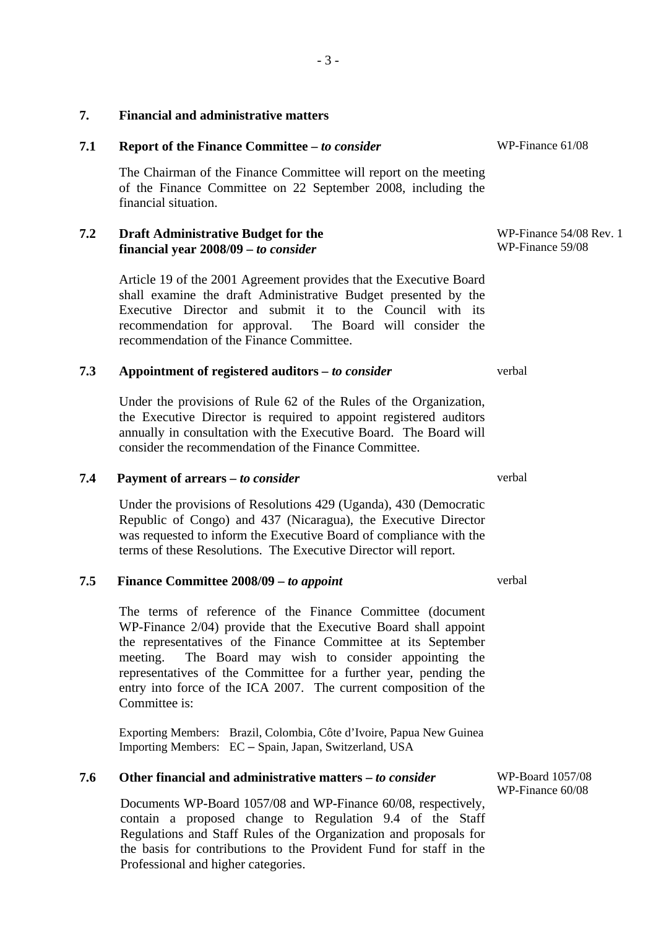| 7.1 | Report of the Finance Committee - to consider                                                                                                                                                                                                                                                            | WP-Finance 61/08                            |
|-----|----------------------------------------------------------------------------------------------------------------------------------------------------------------------------------------------------------------------------------------------------------------------------------------------------------|---------------------------------------------|
|     | The Chairman of the Finance Committee will report on the meeting<br>of the Finance Committee on 22 September 2008, including the<br>financial situation.                                                                                                                                                 |                                             |
| 7.2 | <b>Draft Administrative Budget for the</b><br>financial year 2008/09 – to consider                                                                                                                                                                                                                       | WP-Finance 54/08 Rev. 1<br>WP-Finance 59/08 |
|     | Article 19 of the 2001 Agreement provides that the Executive Board<br>shall examine the draft Administrative Budget presented by the<br>Executive Director and submit it to the Council with its<br>recommendation for approval. The Board will consider the<br>recommendation of the Finance Committee. |                                             |
| 7.3 | Appointment of registered auditors – to consider                                                                                                                                                                                                                                                         | verbal                                      |
|     | Under the provisions of Rule 62 of the Rules of the Organization,<br>the Executive Director is required to appoint registered auditors<br>annually in consultation with the Executive Board. The Board will<br>consider the recommendation of the Finance Committee.                                     |                                             |
| 7.4 | Payment of arrears - to consider                                                                                                                                                                                                                                                                         | verbal                                      |
|     | Under the provisions of Resolutions 429 (Uganda), 430 (Democratic<br>Republic of Congo) and 437 (Nicaragua), the Executive Director<br>was requested to inform the Executive Board of compliance with the<br>terms of these Resolutions. The Executive Director will report.                             |                                             |
| 7.5 | Finance Committee 2008/09 – to appoint                                                                                                                                                                                                                                                                   | verbal                                      |

**7.5 Finance Committee 2008/09 –** *to appoint* 

**7. Financial and administrative matters**

The terms of reference of the Finance Committee (document WP-Finance 2/04) provide that the Executive Board shall appoint the representatives of the Finance Committee at its September meeting. The Board may wish to consider appointing the representatives of the Committee for a further year, pending the entry into force of the ICA 2007. The current composition of the Committee is:

Exporting Members: Brazil, Colombia, Côte d'Ivoire, Papua New Guinea Importing Members: EC – Spain, Japan, Switzerland, USA

## **7.6 Other financial and administrative matters –** *to consider*

Documents WP-Board 1057/08 and WP-Finance 60/08, respectively, contain a proposed change to Regulation 9.4 of the Staff Regulations and Staff Rules of the Organization and proposals for the basis for contributions to the Provident Fund for staff in the Professional and higher categories.